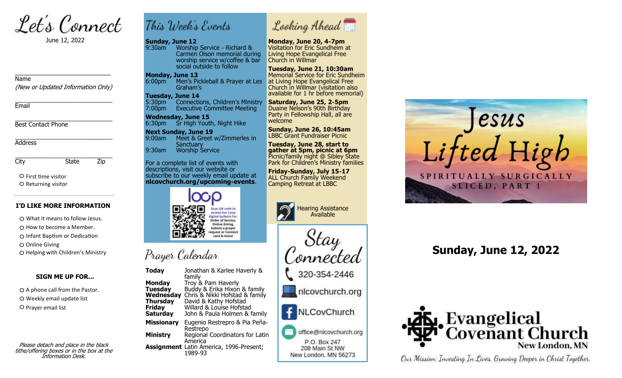Let's Connect

June 12, 2022

Name

(New or Updated Information Only)

\_\_\_\_\_\_\_\_\_\_\_\_\_\_\_\_\_\_\_\_\_\_\_\_\_\_\_\_\_\_\_

\_\_\_\_\_\_\_\_\_\_\_\_\_\_\_\_\_\_\_\_\_\_\_\_\_\_\_\_\_ **Fmail** 

\_\_\_\_\_\_\_\_\_\_\_\_\_\_\_\_\_\_\_\_\_\_\_\_\_\_\_\_\_ Best Contact Phone

\_\_\_\_\_\_\_\_\_\_\_\_\_\_\_\_\_\_\_\_\_\_\_\_\_\_\_\_\_ Address

\_\_\_\_\_\_\_\_\_\_\_\_\_\_\_\_\_\_\_\_\_\_\_\_\_\_\_\_\_ City State Zip

O First time visitor O Returning visitor

### **I'D LIKE MORE INFORMATION**

What it means to follow Jesus.  $\bigcirc$  How to become a Member.

O Infant Baptism or Dedication

O Online Giving

O Helping with Children's Ministry

### **SIGN ME UP FOR...**

 $O$  A phone call from the Pastor. O Weekly email update list O Prayer email list

Please detach and place in the black tithe/offering boxes or in the box at the Information Desk.



### **Sunday, June 12**

9:30am Worship Service - Richard & Carmen Olson memorial during worship service w/coffee & bar social outside to follow

### **Monday, June 13**

6:00pm Men's Pickleball & Prayer at Les at Living Hope Evangelical Free Graham's

### **Tuesday, June 14**

5:30pm Connections, Children's Ministry<br>7:00pm Executive Committee Meeting **Executive Committee Meeting** 

**Wednesday, June 15** 6:30pm Sr High Youth, Night Hike

**Next Sunday, June 19** 9:00am Meet & Greet w/Zimmerles in **Sanctuary** 9:30am Worship Service

For a complete list of events with descriptions, visit our website or subscribe to our weekly email update at Prist time visitor<br>Returning visitor **nlcovchurch.org/upcoming-events.** Camping Retreat at LBBC



# Prayer Calendar

**Today** Jonathan & Karlee Haverly & family **Monday** Troy & Pam Haverly<br>**Tuesday** Buddy & Erika Hixon **Tuesday** Buddy & Erika Hixon & family **Wednesday** Chris & Nikki Hofstad & family **Thursday** David & Kathy Hofstad<br>**Friday** Willard & Louise Hofsta **Friday** Willard & Louise Hofstad **Saturday** John & Paula Holmen & family **Saturdav Missionary** Eugenio Restrepro & Pia Peña-Restrepo **Ministry** Regional Coordinators for Latin America **Assignment** Latin America, 1996-Present; 1989-93



### **Monday, June 20, 4-7pm** Visitation for Eric Sundheim at Living Hope Evangelical Free Church in Willmar

**Tuesday, June 21, 10:30am** Memorial Service for Eric Sundheim Church in Willmar (visitation also available for 1 hr before memorial)

**Saturday, June 25, 2-5pm** Duaine Nelson's 90th Birthday Party in Fellowship Hall, all are welcome

 **Sunday, June 26, 10:45am** LBBC Grant Fundraiser Picnic

 **Tuesday, June 28, start to gather at 5pm, picnic at 6pm** Picnic/family night @ Sibley State Park for Children's Ministry families

**Friday-Sunday, July 15-17** ALL Church Family Weekend<br>Camping Retreat at LBBC



onnected

320-354-2446

nlcovchurch.org

NLCovChurch

office@nlcovchurch.org P.O. Box 247 208 Main St NW New London, MN 56273



## **Sunday, June 12, 2022**



Our Mission: Investing In Lives, Growing Deeper in Christ Together.